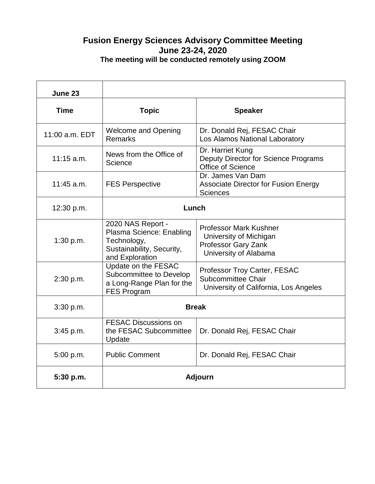## **Fusion Energy Sciences Advisory Committee Meeting June 23-24, 2020 The meeting will be conducted remotely using ZOOM**

| June 23        |                                                                                                              |                                                                                                         |
|----------------|--------------------------------------------------------------------------------------------------------------|---------------------------------------------------------------------------------------------------------|
| <b>Time</b>    | <b>Topic</b>                                                                                                 | <b>Speaker</b>                                                                                          |
| 11:00 a.m. EDT | <b>Welcome and Opening</b><br><b>Remarks</b>                                                                 | Dr. Donald Rej, FESAC Chair<br>Los Alamos National Laboratory                                           |
| $11:15$ a.m.   | News from the Office of<br>Science                                                                           | Dr. Harriet Kung<br>Deputy Director for Science Programs<br>Office of Science                           |
| $11:45$ a.m.   | <b>FES Perspective</b>                                                                                       | Dr. James Van Dam<br><b>Associate Director for Fusion Energy</b><br><b>Sciences</b>                     |
| 12:30 p.m.     | Lunch                                                                                                        |                                                                                                         |
| 1:30 p.m.      | 2020 NAS Report -<br>Plasma Science: Enabling<br>Technology,<br>Sustainability, Security,<br>and Exploration | <b>Professor Mark Kushner</b><br>University of Michigan<br>Professor Gary Zank<br>University of Alabama |
| 2:30 p.m.      | Update on the FESAC<br>Subcommittee to Develop<br>a Long-Range Plan for the<br><b>FES Program</b>            | Professor Troy Carter, FESAC<br>Subcommittee Chair<br>University of California, Los Angeles             |
| 3:30 p.m.      | <b>Break</b>                                                                                                 |                                                                                                         |
| 3:45 p.m.      | <b>FESAC Discussions on</b><br>the FESAC Subcommittee<br>Update                                              | Dr. Donald Rej, FESAC Chair                                                                             |
| 5:00 p.m.      | <b>Public Comment</b>                                                                                        | Dr. Donald Rej, FESAC Chair                                                                             |
| 5:30 p.m.      | Adjourn                                                                                                      |                                                                                                         |